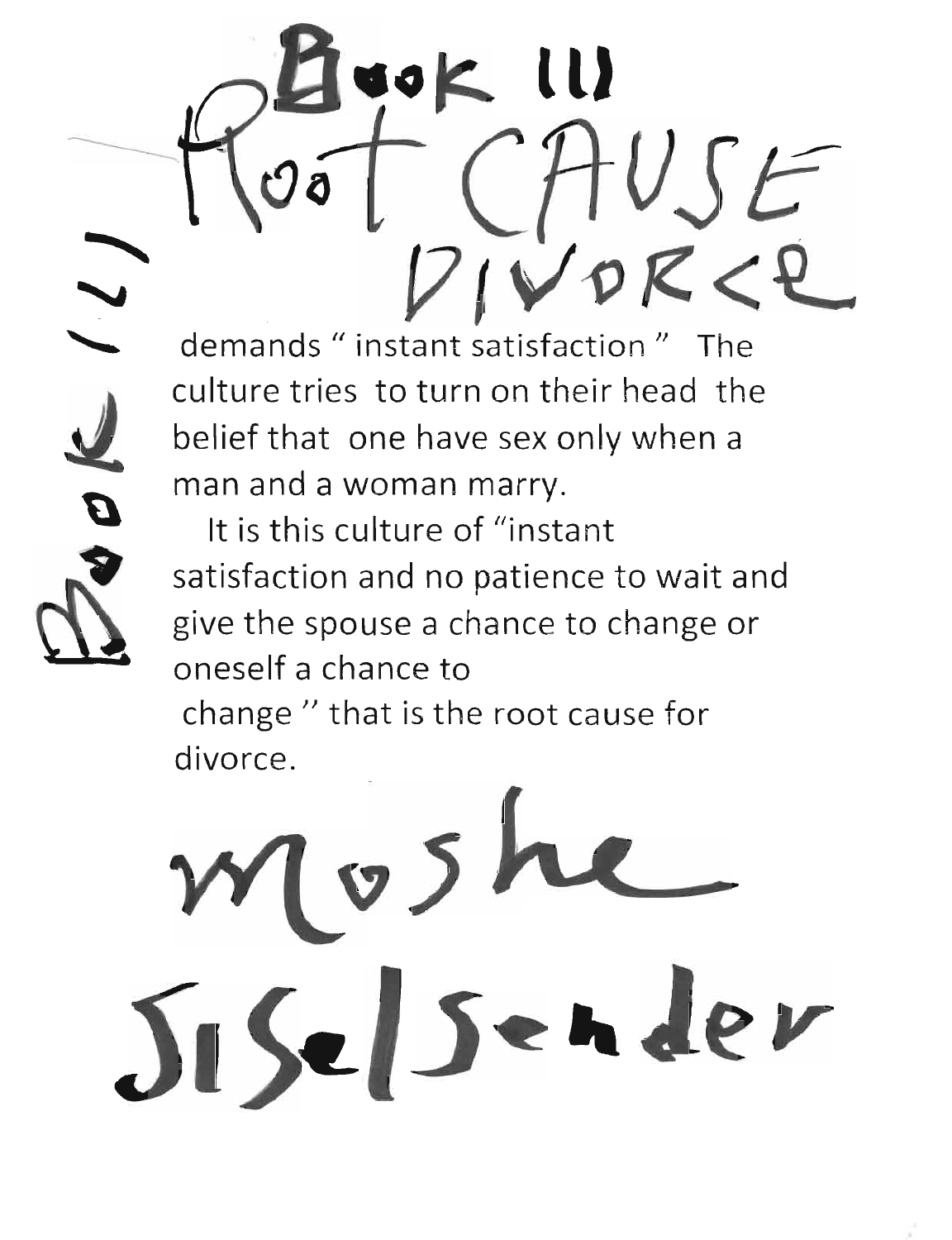demands " instant satisfaction " The culture tries to turn on their head the belief that one have sex only when a man and a woman marry.

.o~ **ttJ** 

VSc

IVDRCP

It is this culture of "instant satisfaction and no patience to wait and give the spouse a chance to change or oneself a chance to

change " that is the root cause for divorce.

 $v5ke$ Siselsender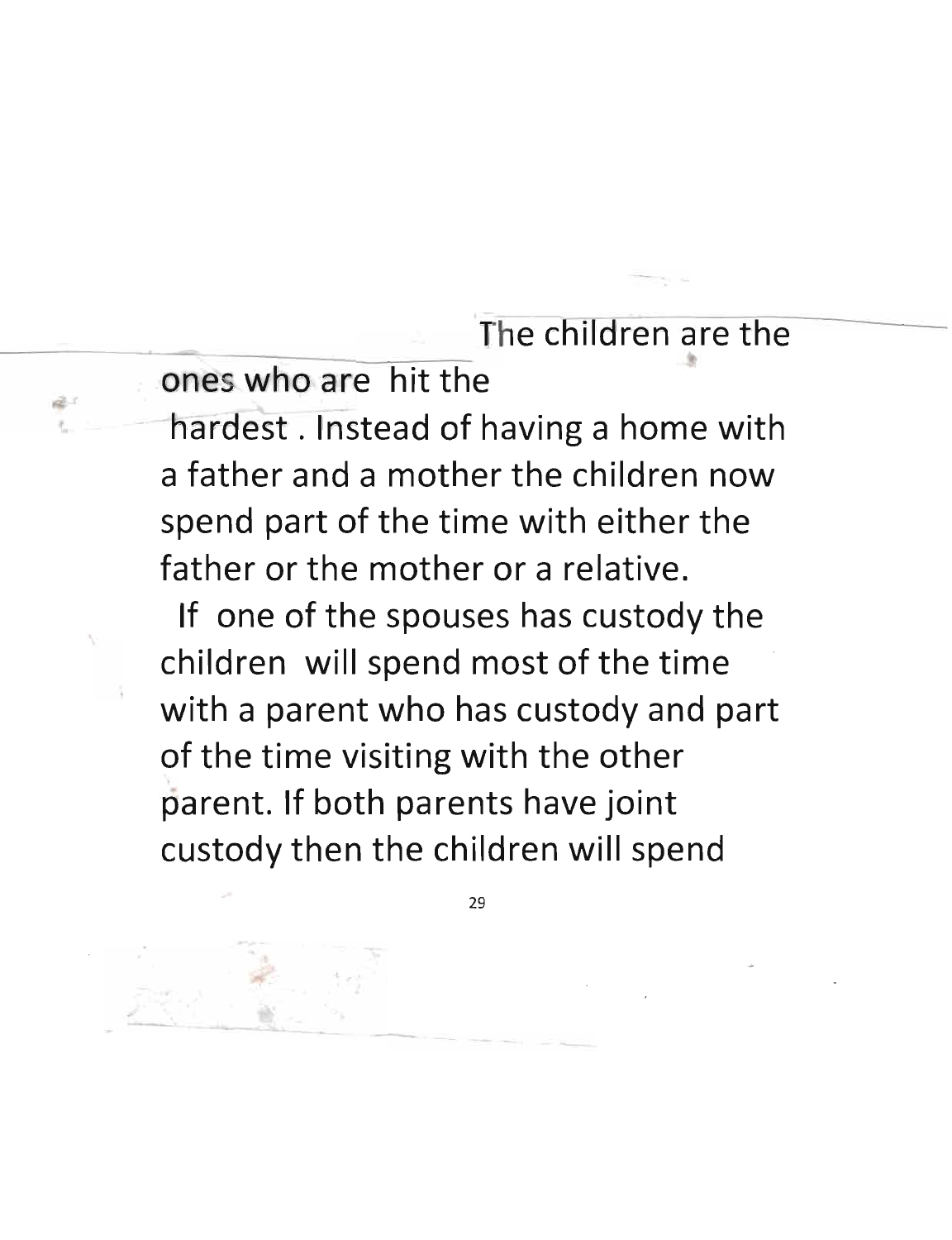The children are the

ones who are hit the

hardest. Instead of having a home with a father and a mother the children now spend part of the time with either the father or the mother or a relative.

If one of the spouses has custody the children will spend most of the time with a parent who has custody and part of the time visiting with the other parent. If both parents have joint custody then the children will spend

 $\mathbf{R}$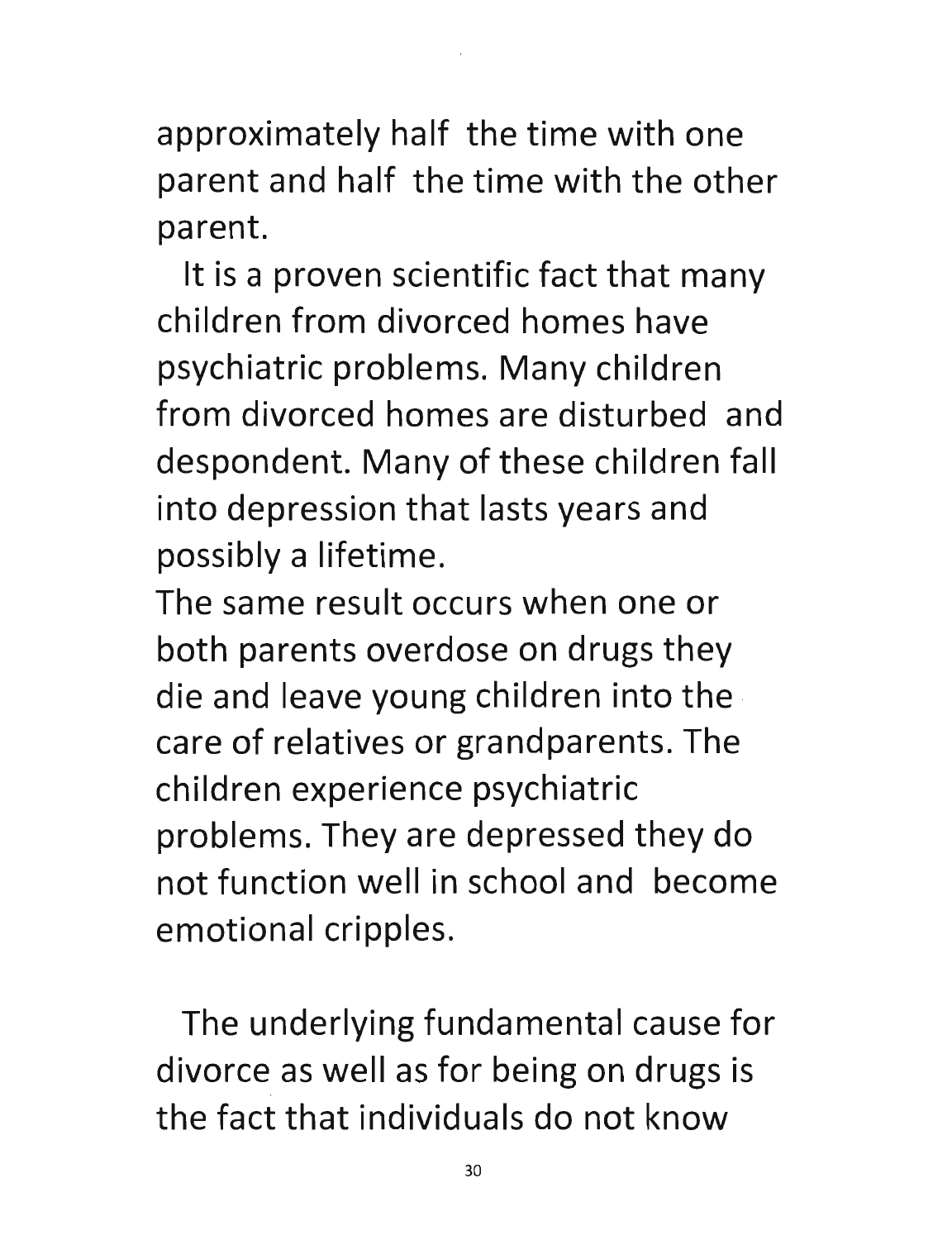approximately half the time with one parent and half the time with the other parent.

It is a proven scientific fact that many children from divorced homes have psychiatric problems. Many children from divorced homes are disturbed and despondent. Many of these children fall into depression that lasts years and possibly a lifetime.

The same result occurs when one or both parents overdose on drugs they die and leave young children into the · care of relatives or grandparents. The children experience psychiatric problems. They are depressed they do not function well in school and become emotional cripples.

The underlying fundamental cause for divorce as well as for being on drugs is the fact that individuals do not know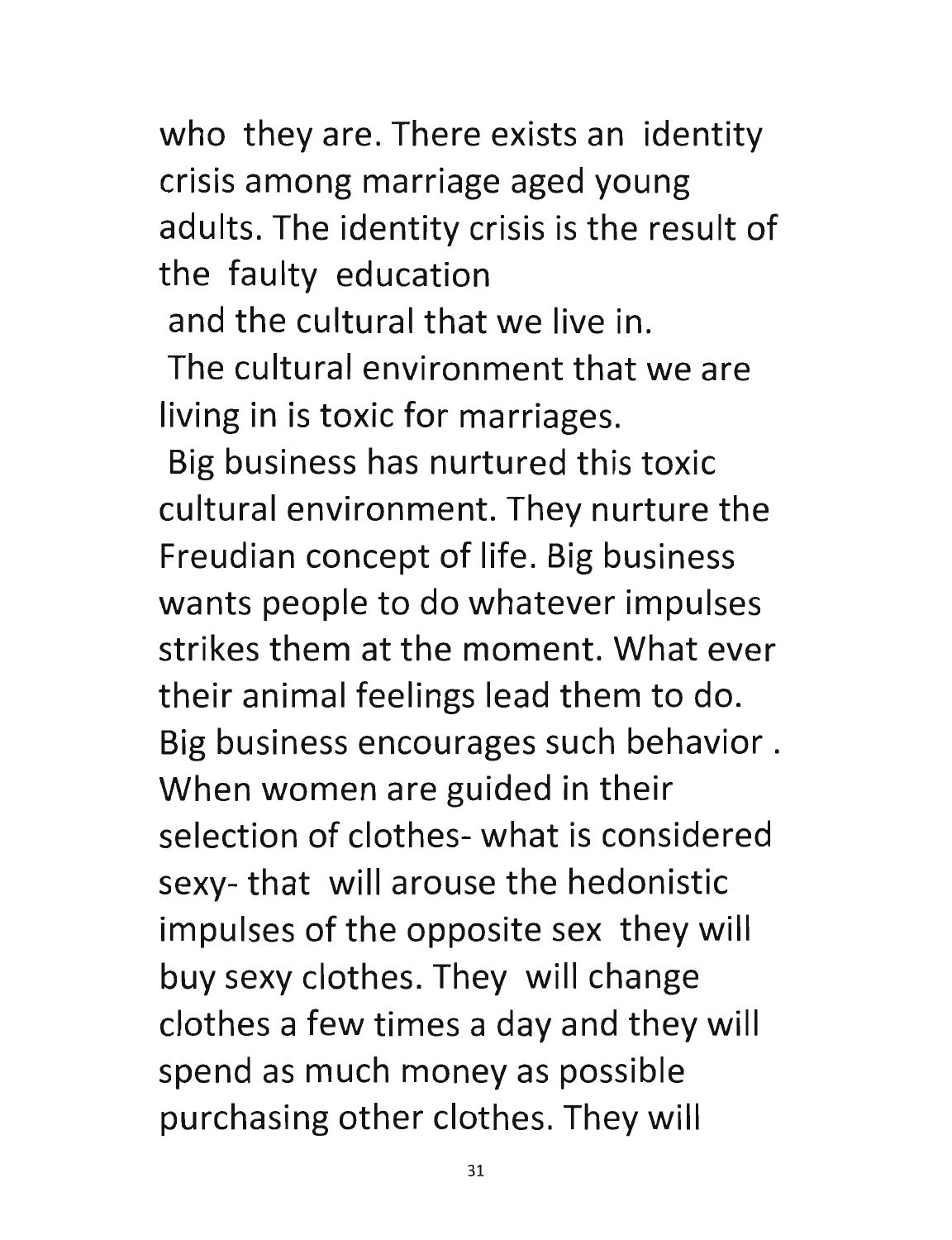who they are. There exists an identity crisis among marriage aged young adults. The identity crisis is the result of the faulty education

and the cultural that we live in.

The cultural environment that we are living in is toxic for marriages.

Big business has nurtured this toxic cultural environment. They nurture the Freudian concept of life. Big business wants people to do whatever impulses strikes them at the moment. What ever their animal feelings lead them to do. Big business encourages such behavior. When women are guided in their selection of clothes- what is considered sexy- that will arouse the hedonistic impulses of the opposite sex they will buy sexy clothes. They will change clothes a few times a day and they will spend as much money as possible purchasing other clothes. They will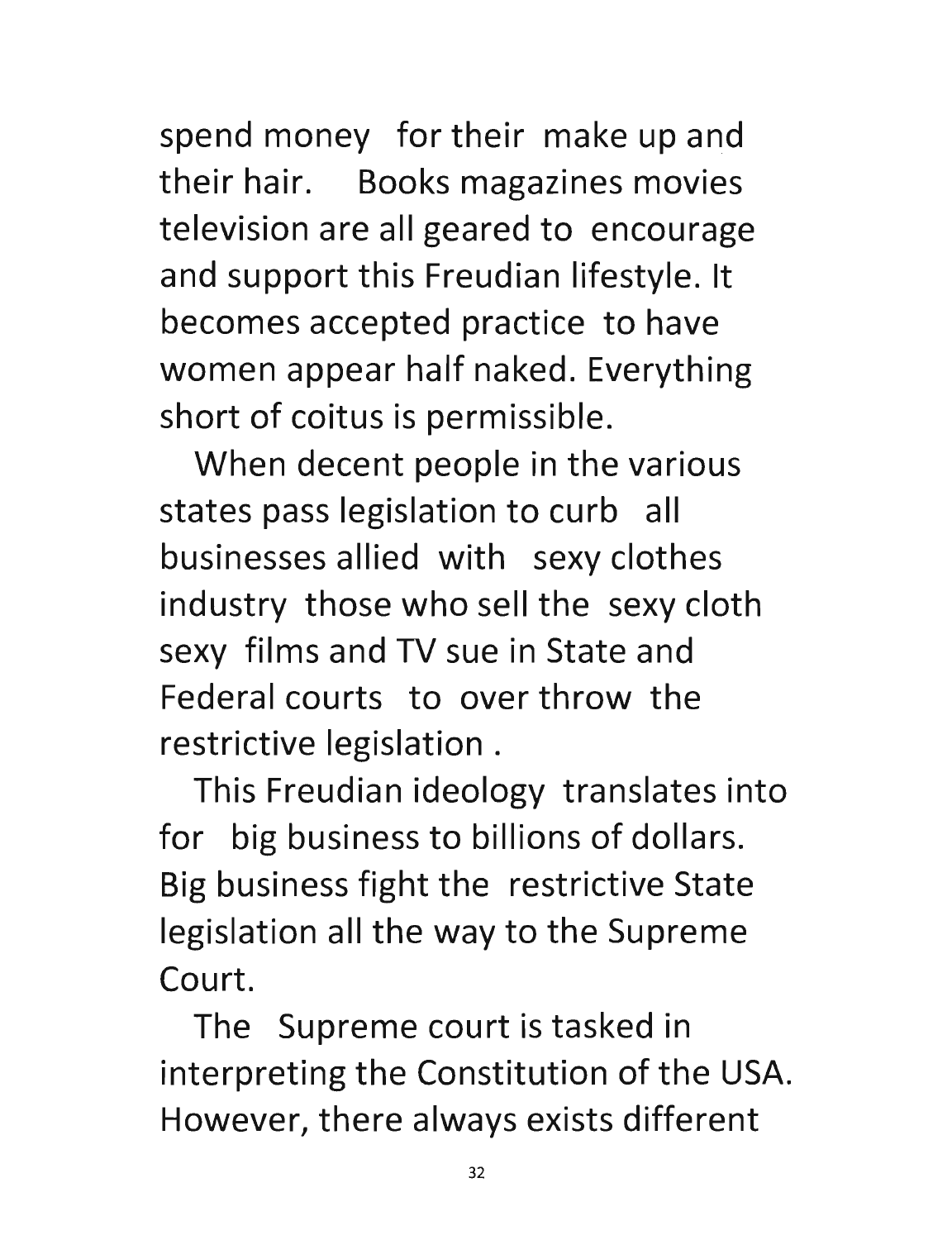spend money for their make up and their hair. Books magazines movies television are all geared to encourage and support this Freudian lifestyle. It becomes accepted practice to have women appear half naked. Everything short of coitus is permissible.

When decent people in the various states pass legislation to curb all businesses allied with sexy clothes industry those who sell the sexy cloth sexy films and TV sue in State and Federal courts to over throw the restrictive legislation.

This Freudian ideology translates into for big business to billions of dollars. Big business fight the restrictive State legislation all the way to the Supreme Court.

The Supreme court is tasked in interpreting the Constitution of the USA. However, there always exists different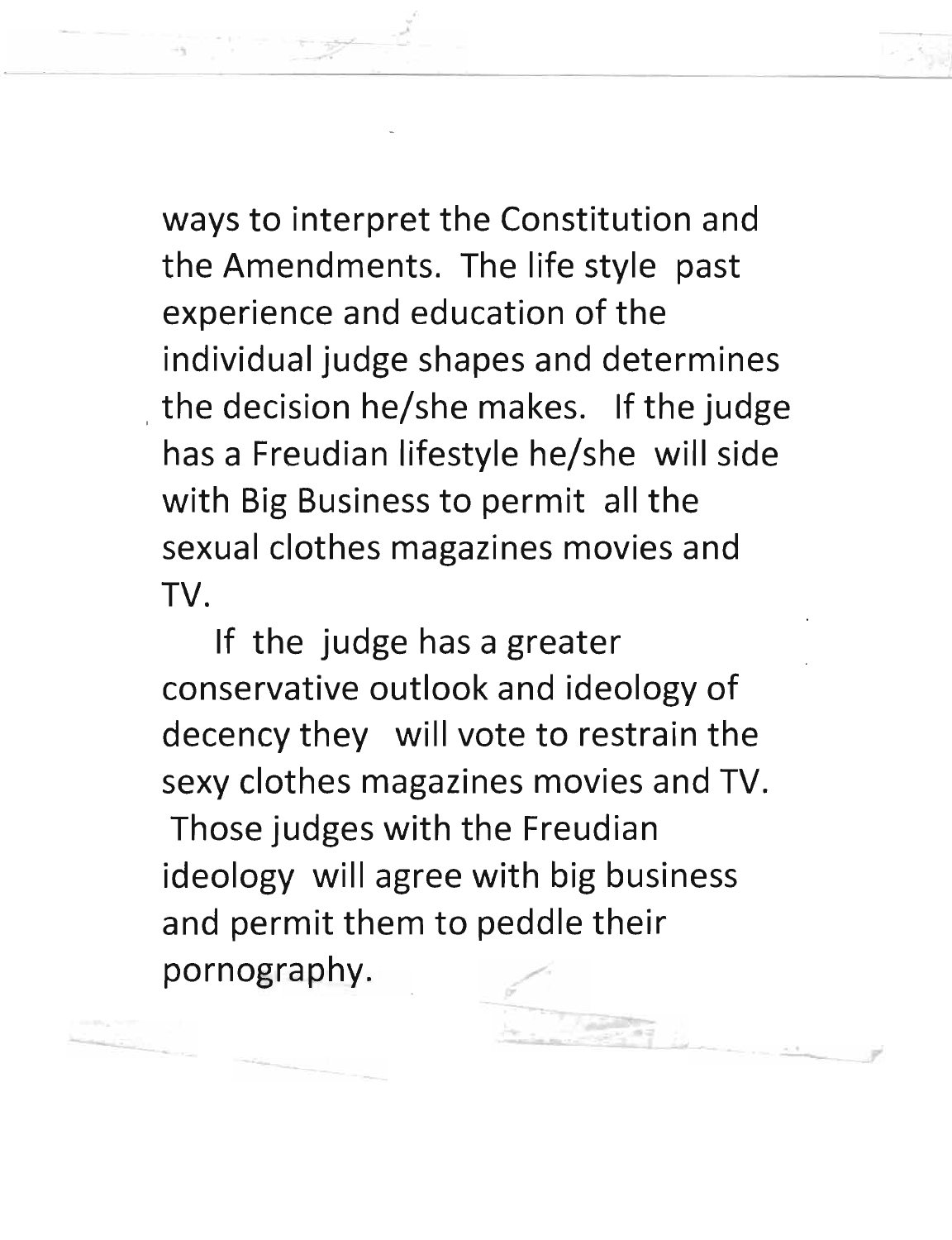ways to interpret the Constitution and the Amendments. The life style past experience and education of the individual judge shapes and determines the decision he/she makes. If the judge has a Freudian lifestyle he/she will side with Big Business to permit all the sexual clothes magazines movies and TV.

If the judge has a greater conservative outlook and ideology of decency they will vote to restrain the sexy clothes magazines movies and TV. Those judges with the Freudian ideology will agree with big business and permit them to peddle their pornography.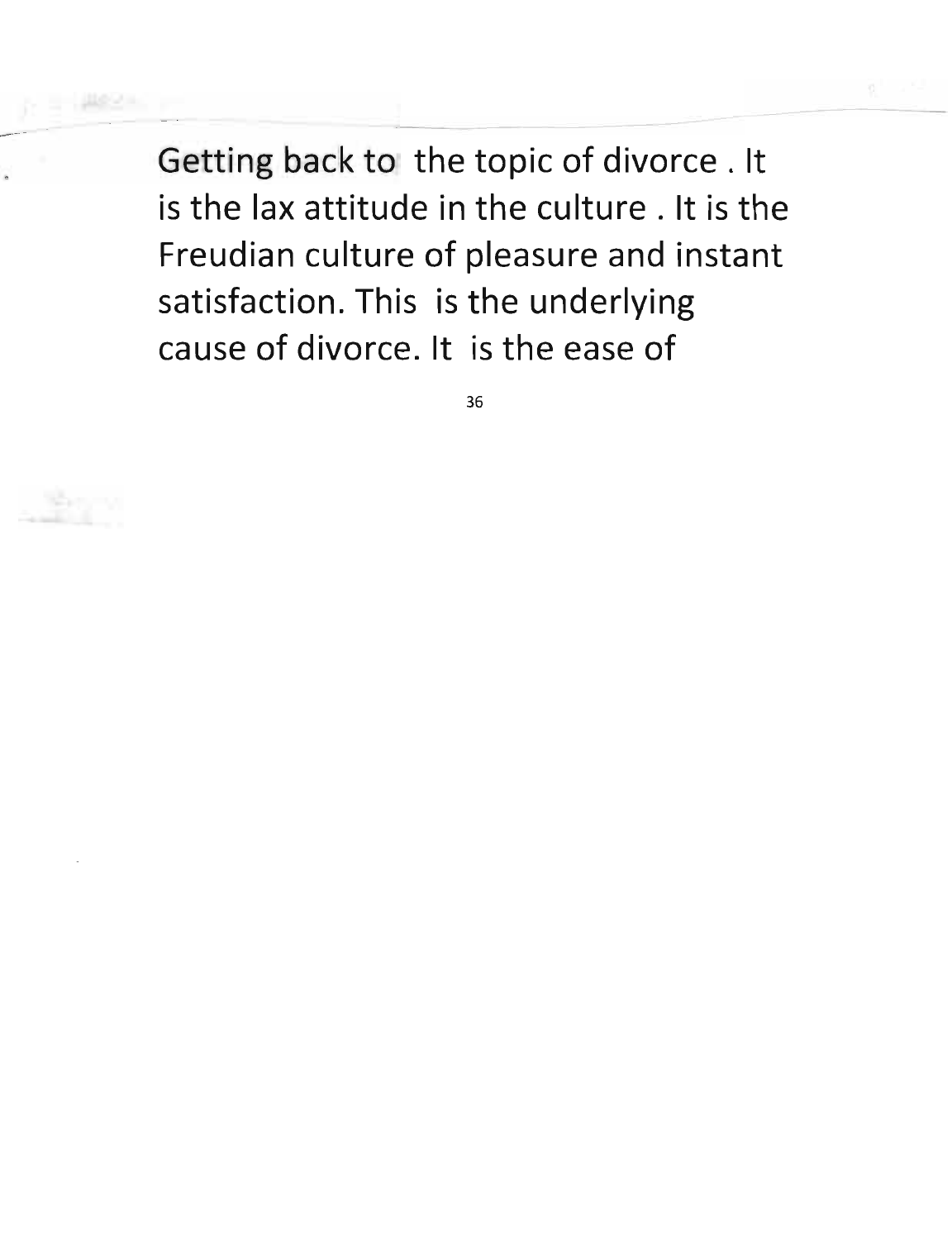Getting back to the topic of divorce. It is the lax attitude in the culture. It is the Freudian culture of pleasure and instant satisfaction. This is the underlying cause of divorce. It is the ease of

--~------------~----------------

36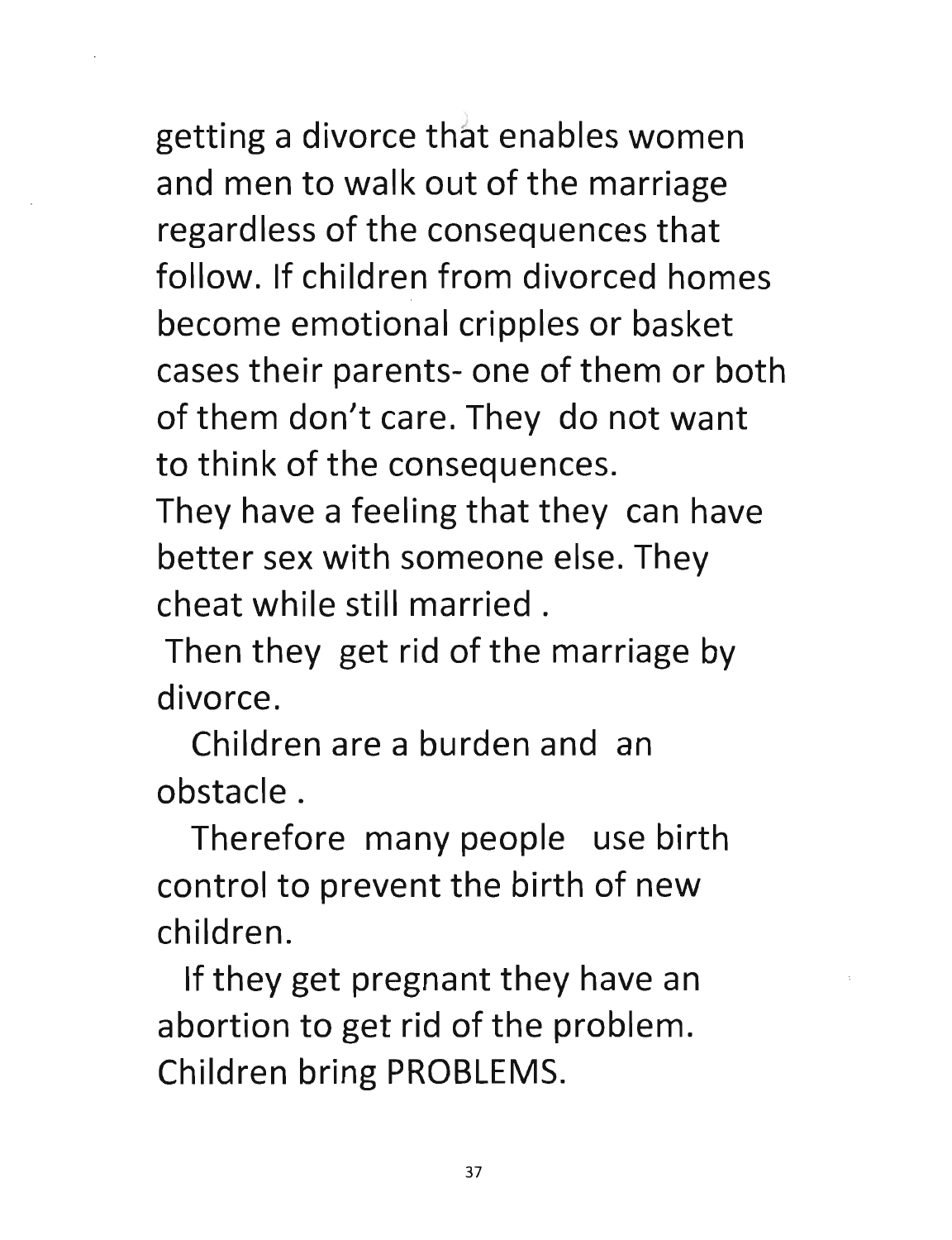getting a divorce that enables women and men to walk out of the marriage regardless of the consequences that follow. If children from divorced homes become emotional cripples or basket cases their parents- one of them or both of them don't care. They do not want to think of the consequences.

They have a feeling that they can have better sex with someone else. They cheat while still married.

Then they get rid of the marriage by divorce.

Children are a burden and an obstacle.

Therefore many people use birth control to prevent the birth of new children.

If they get pregnant they have an abortion to get rid of the problem. Children bring PROBLEMS.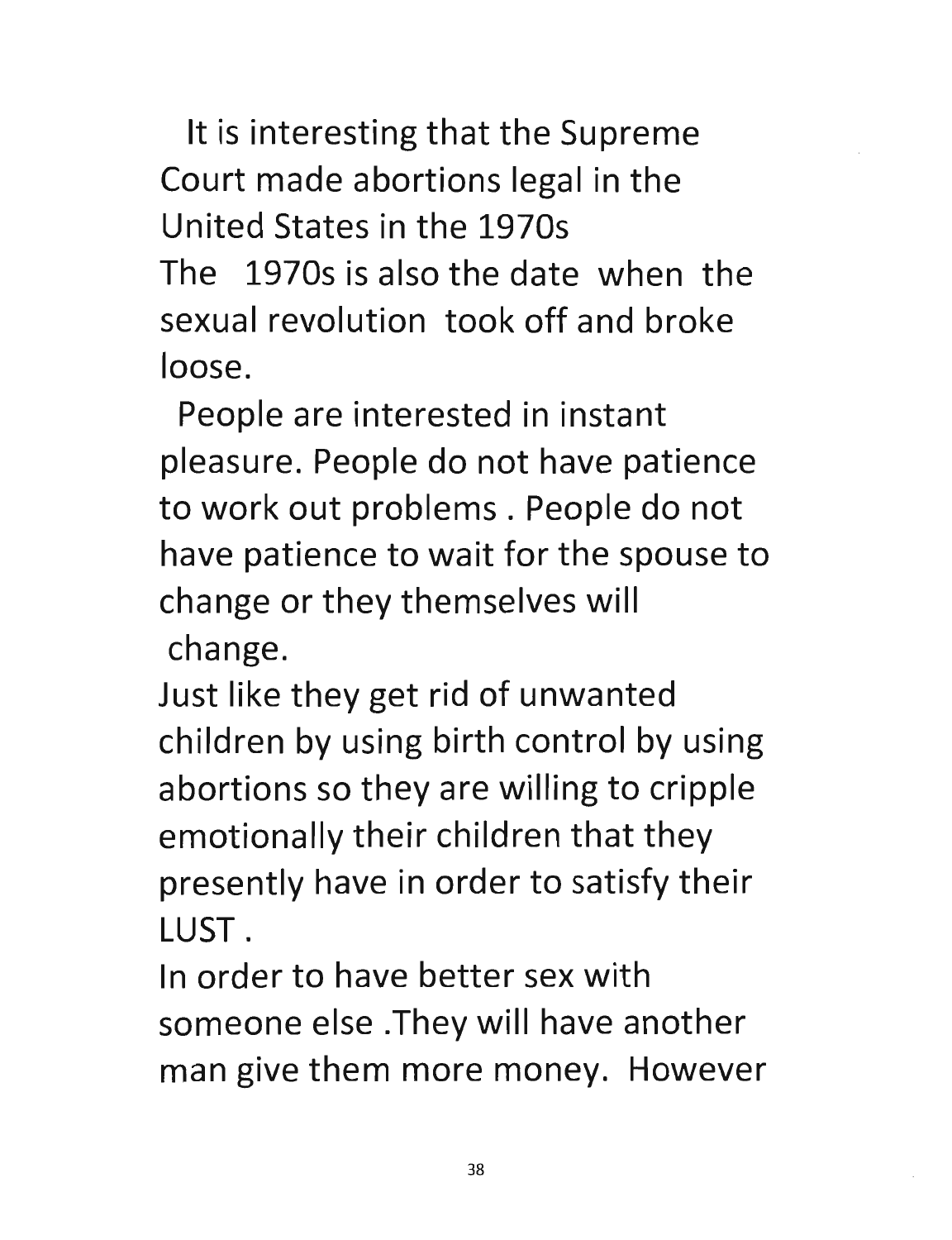It is interesting that the Supreme Court made abortions legal in the United States in the 1970s The 1970s is also the date when the sexual revolution took off and broke loose.

People are interested in instant pleasure. People do not have patience to work out problems. People do not have patience to wait for the spouse to change or they themselves will change.

Just like they get rid of unwanted children by using birth control by using abortions so they are willing to cripple emotionally their children that they presently have in order to satisfy their LUST.

In order to have better sex with someone else .They will have another man give them more money. However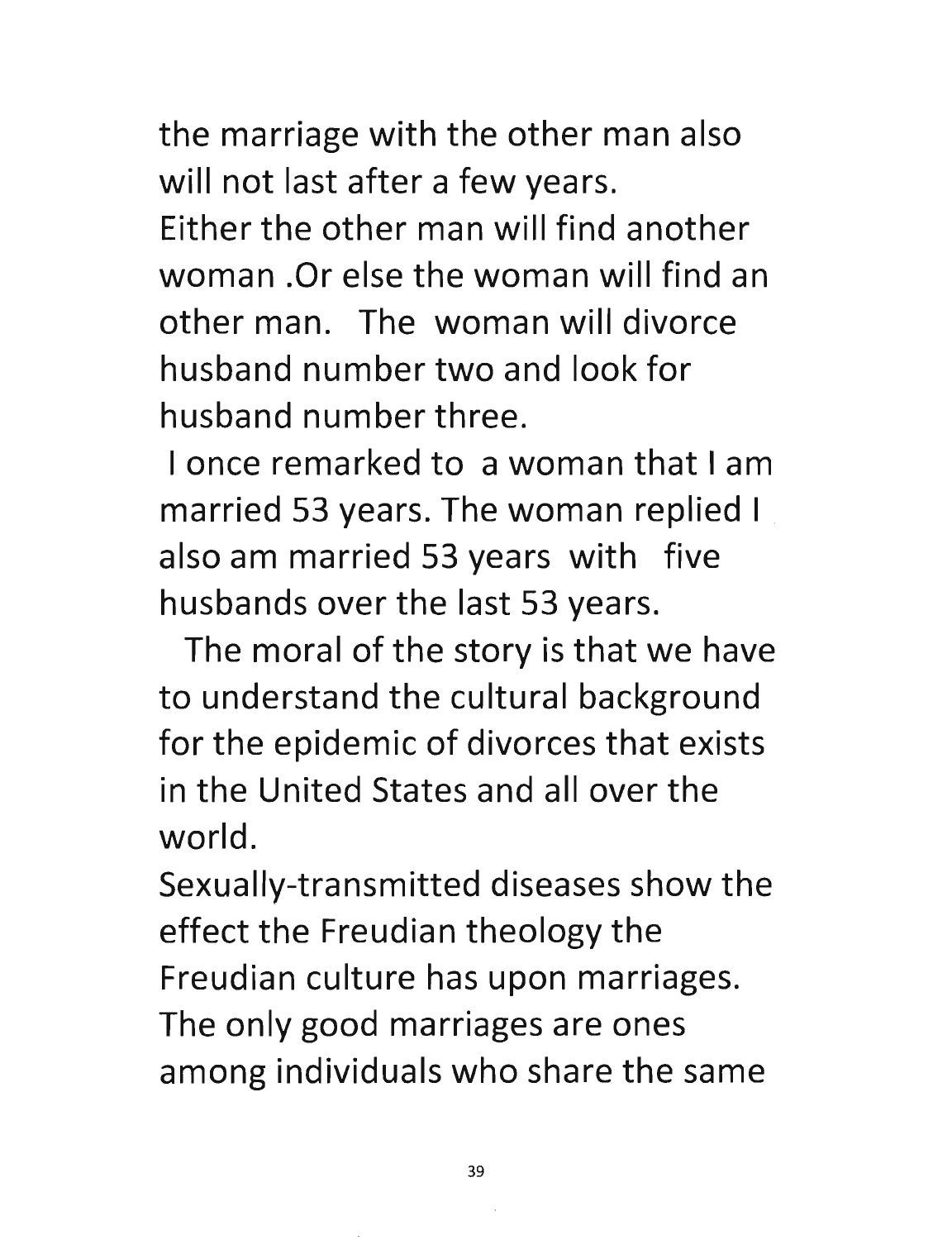the marriage with the other man also will not last after a few years. Either the other man will find another woman .Or else the woman will find an other man. The woman will divorce husband number two and look for husband number three.

I once remarked to a woman that I am married 53 years. The woman replied I also am married 53 years with five husbands over the last 53 years.

The moral of the story is that we have to understand the cultural background for the epidemic of divorces that exists in the United States and all over the world.

Sexually-transmitted diseases show the effect the Freudian theology the Freudian culture has upon marriages. The only good marriages are ones among individuals who share the same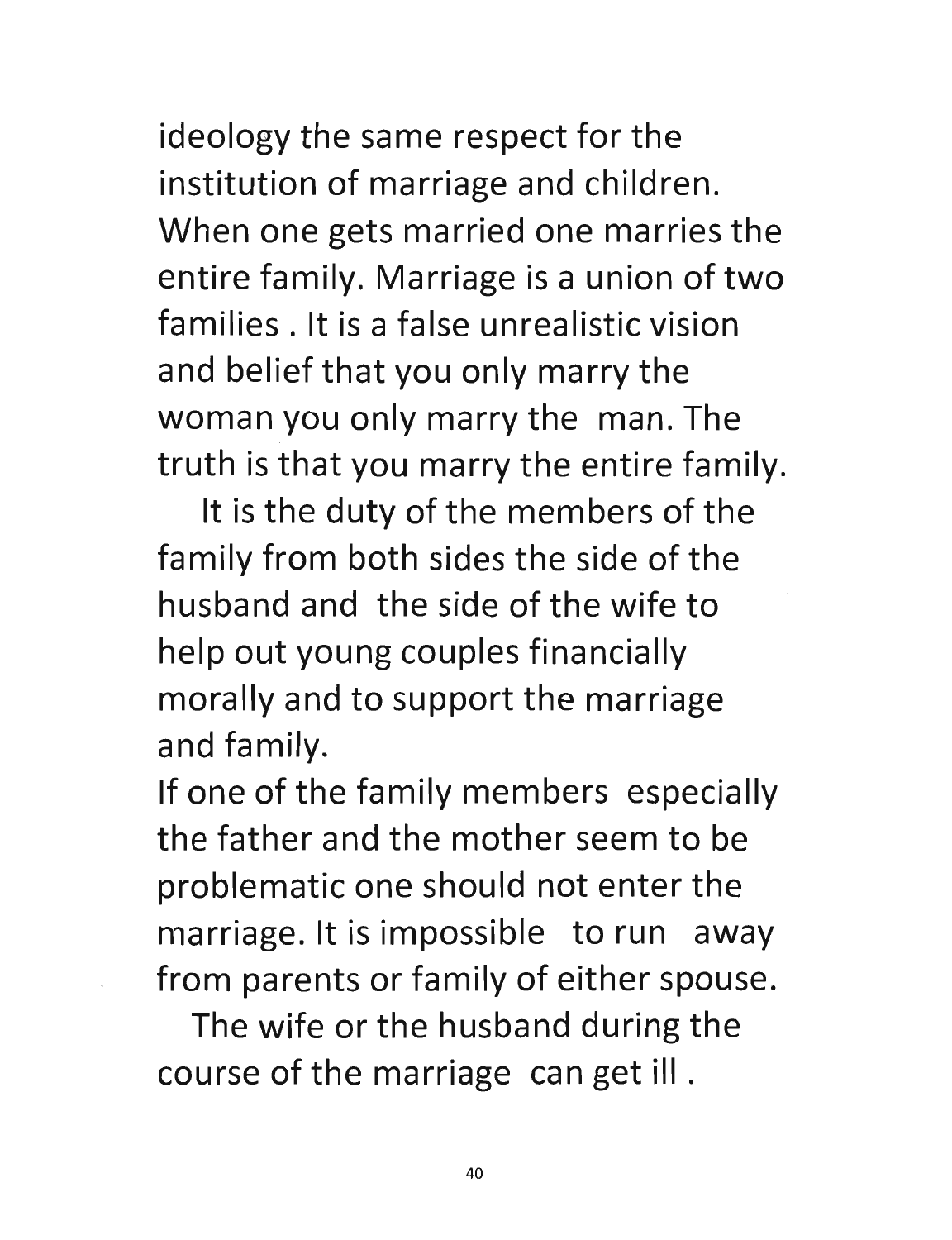ideology the same respect for the institution of marriage and children. When one gets married one marries the entire family. Marriage is a union of two families. It is a false unrealistic vision and belief that you only marry the woman you only marry the man. The truth is that you marry the entire family.

It is the duty of the members of the family from both sides the side of the husband and the side of the wife to help out young couples financially morally and to support the marriage and family.

If one of the family members especially the father and the mother seem to be problematic one should not enter the marriage. It is impossible to run away from parents or family of either spouse.

The wife or the husband during the course of the marriage can get ill .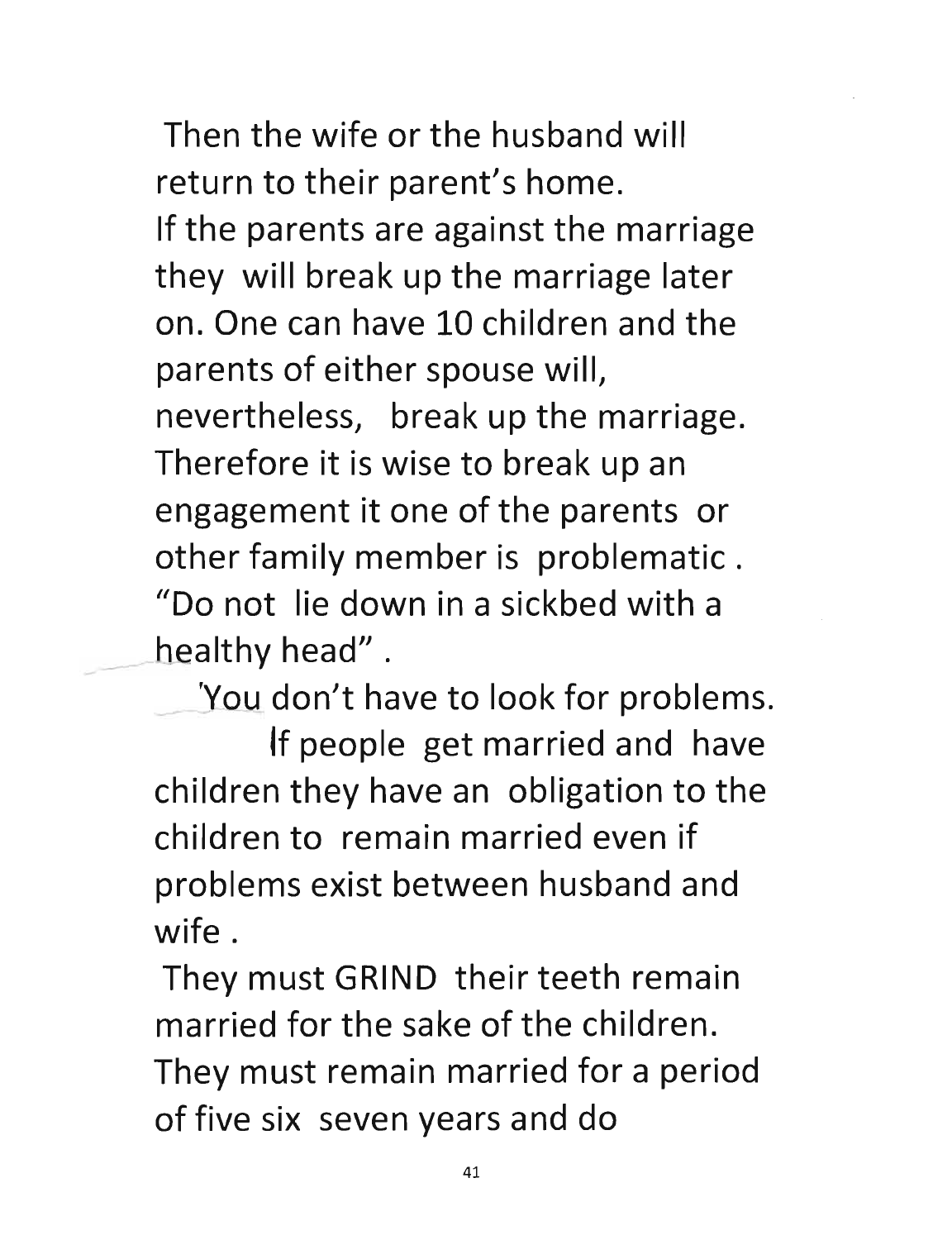Then the wife or the husband will return to their parent's home. If the parents are against the marriage they will break up the marriage later on. One can have 10 children and the parents of either spouse will, nevertheless, break up the marriage. Therefore it is wise to break up an engagement it one of the parents or other family member is problematic. "Do not lie down in a sickbed with a healthy head".

'You don't have to look for problems.

If people get married and have children they have an obligation to the childreh to remain married even if problems exist between husband and wife.

They must GRIND their teeth remain married for the sake of the children. They must remain married for a period of five six seven years and do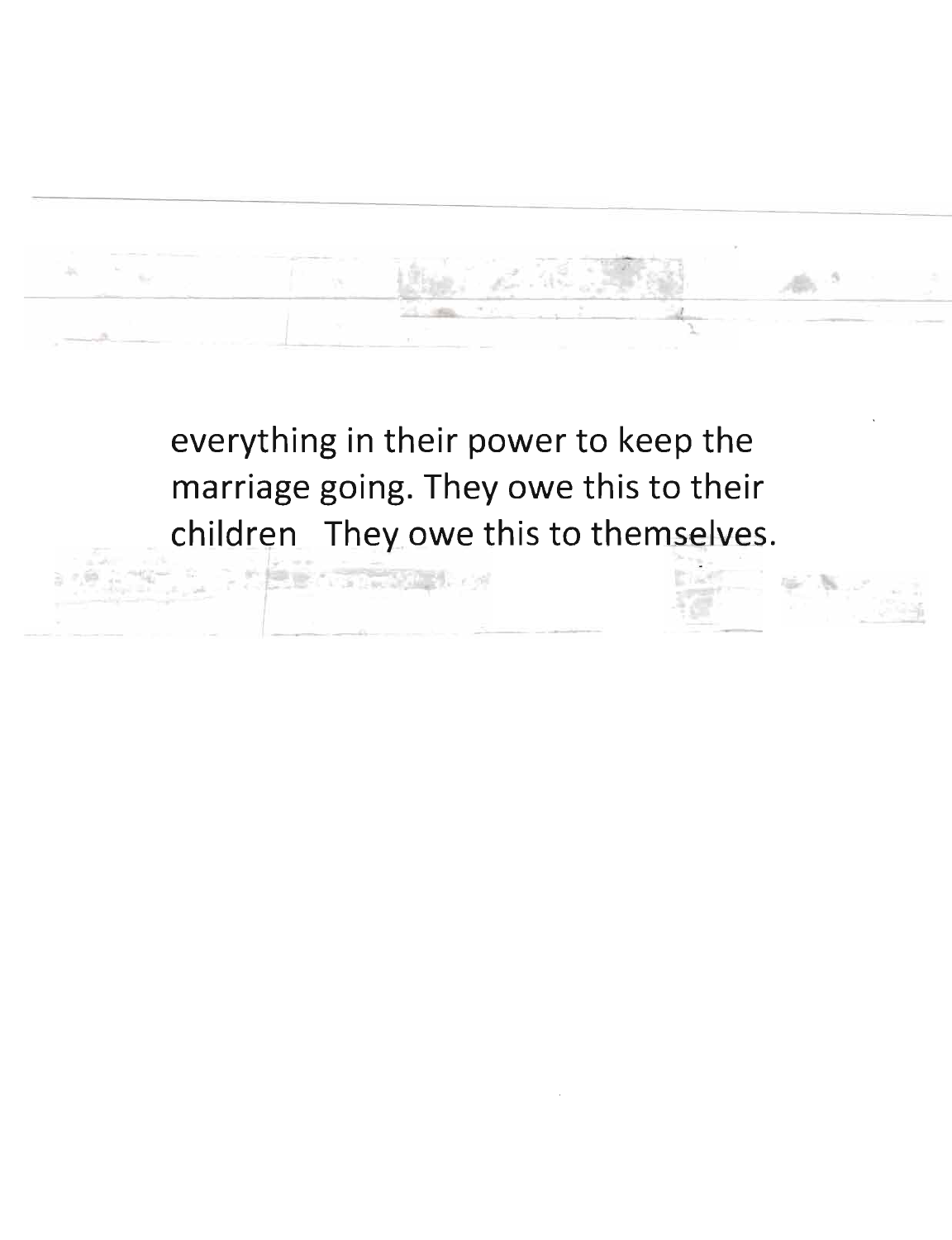everything in their power to keep the marriage going. They owe this to their children They owe this to themselves.

**ABS CONSULTS**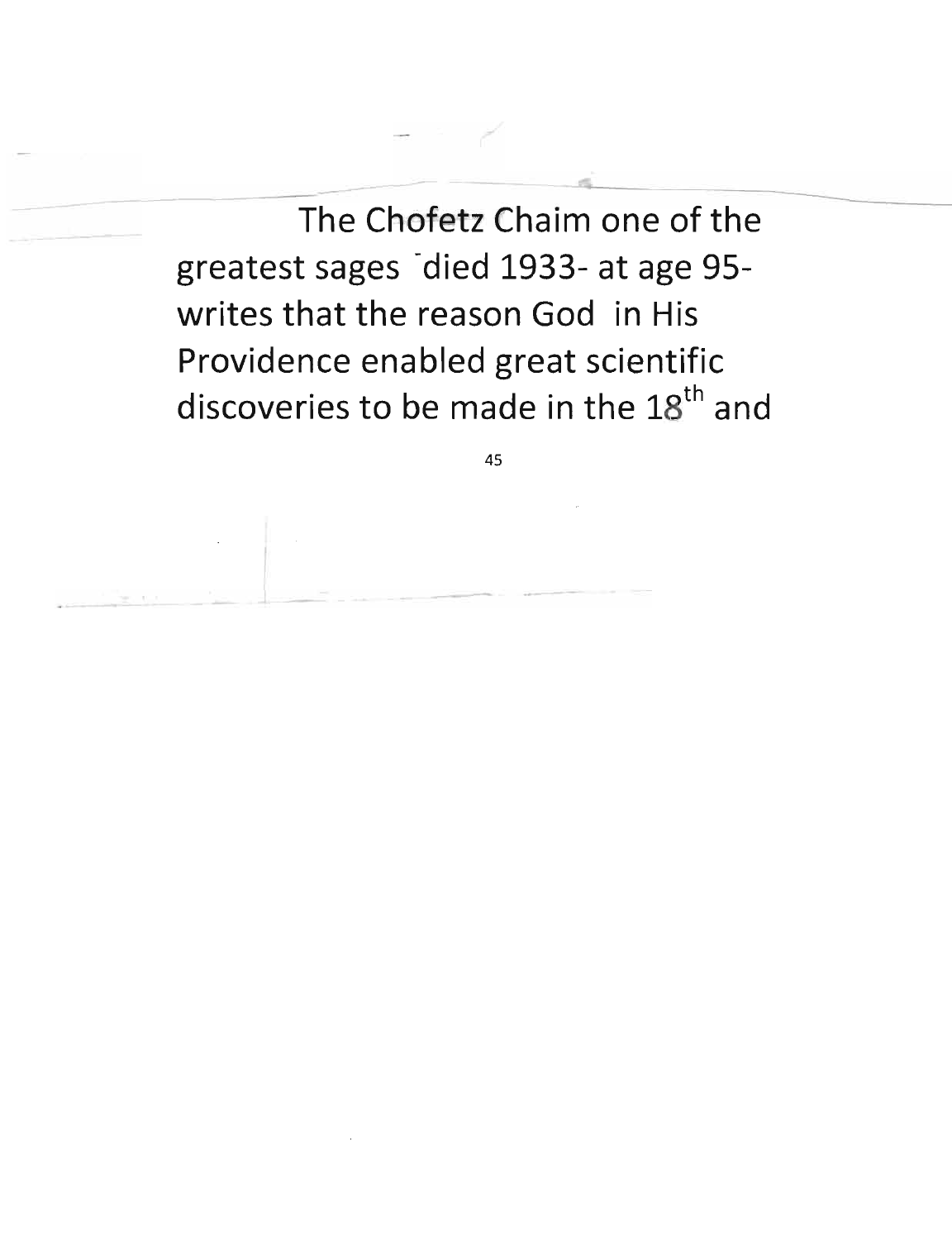$-$ The Chofetz Chaim one of the greatest sages died 1933- at age 95writes that the reason God in His Providence enabled great scientific discoveries to be made in the 18<sup>th</sup> and

----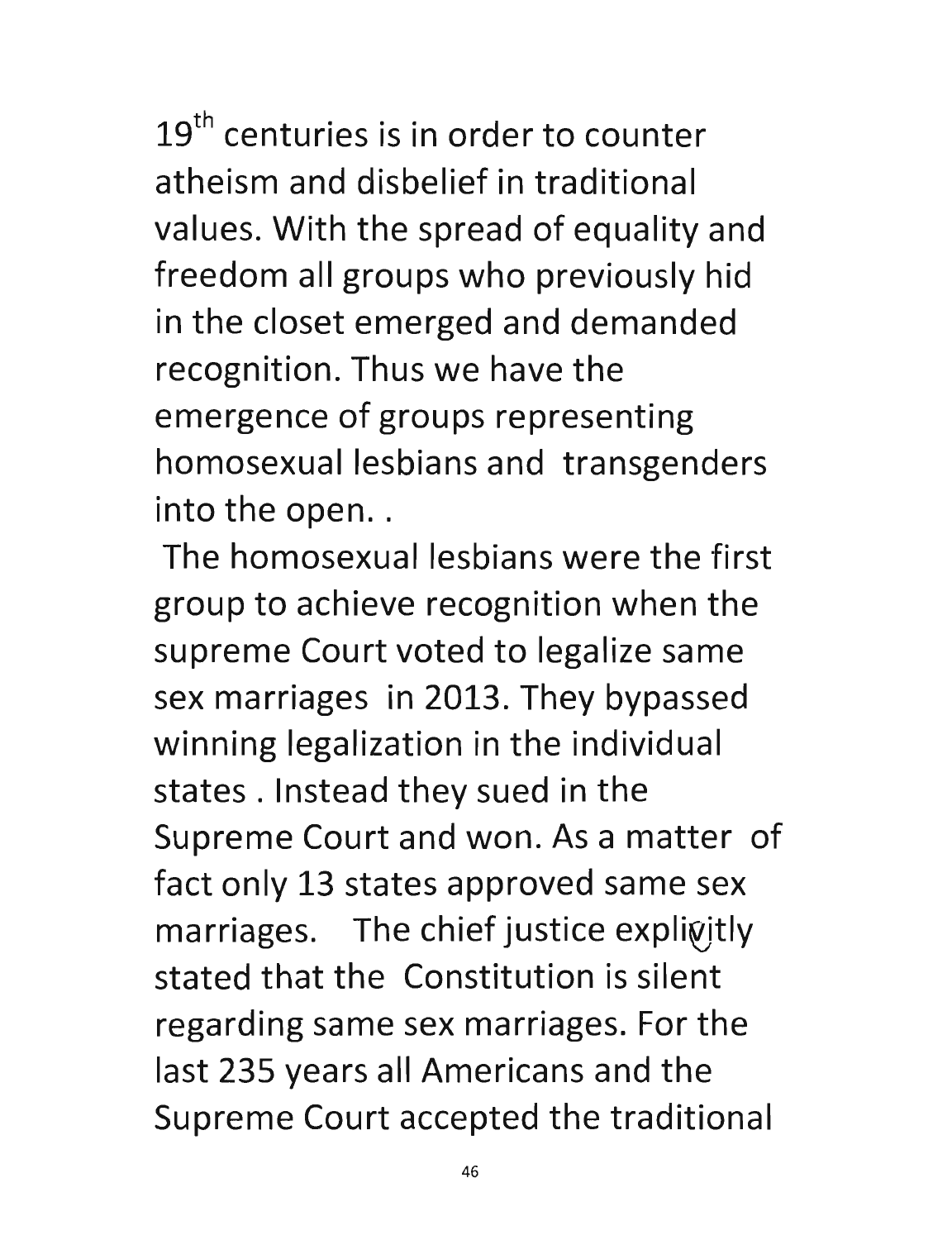$19<sup>th</sup>$  centuries is in order to counter atheism and disbelief in traditional values. With the spread of equality and freedom all groups who previously hid in the closet emerged and demanded recognition. Thus we have the emergence of groups representing homosexual lesbians and transgenders into the open..

The homosexual lesbians were the first group to achieve recognition when the supreme Court voted to legalize same sex marriages in 2013. They bypassed winning legalization in the individual states. Instead they sued in the Supreme Court and won. As a matter of fact only 13 states approved same sex  $marriages.$  The chief justice explicitly stated that the Constitution is silent regarding same sex marriages. For the last 235 years all Americans and the Supreme Court accepted the traditional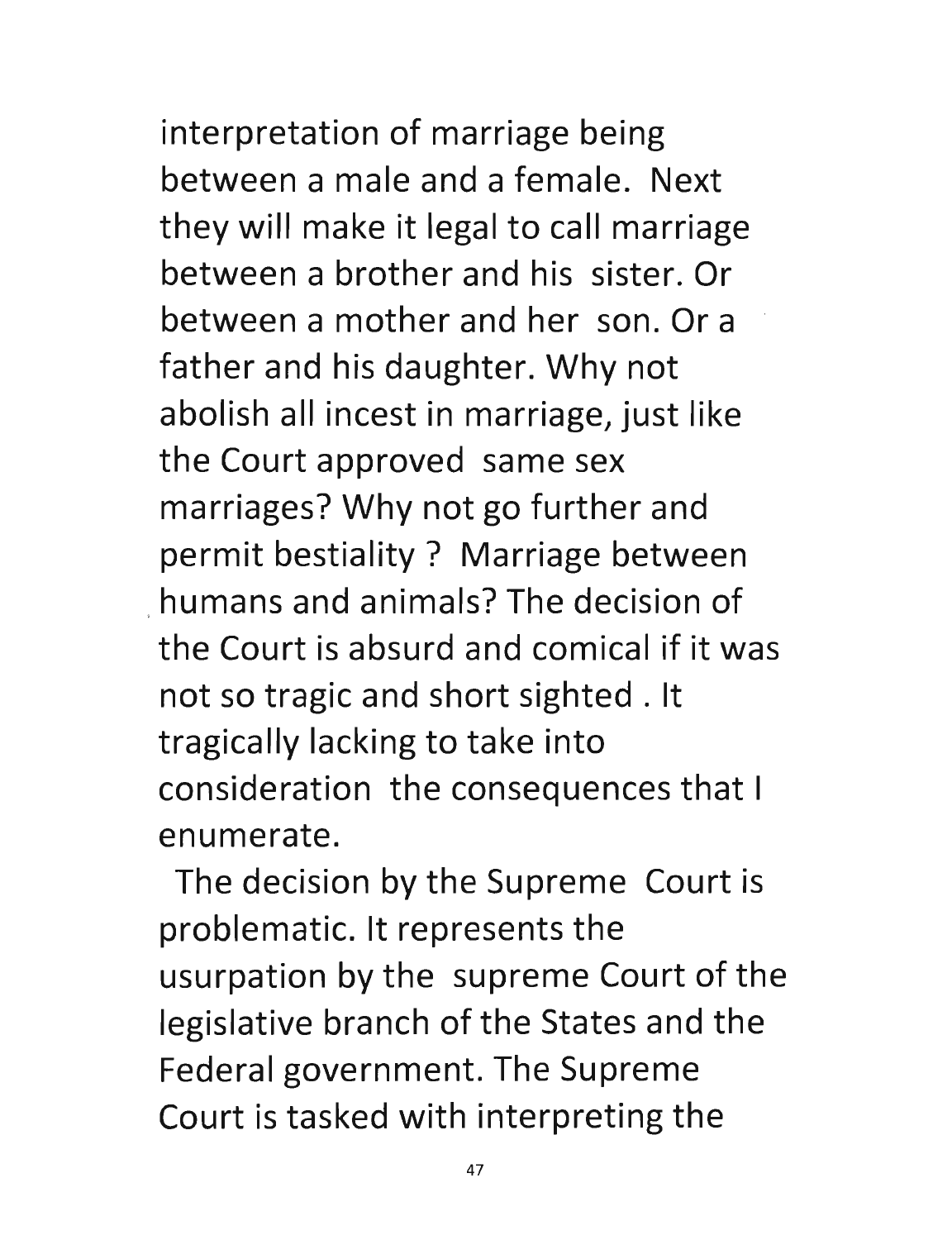## interpretation of marriage being

between a male and a female. Next they will make it legal to call marriage between a brother and his sister. Or between a mother and her son. Or a father and his daughter. Why not abolish all incest in marriage, just like the Court approved same sex marriages? Why not go further and permit bestiality? Marriage between humans and animals? The decision of the Court is absurd and comical if it was not so tragic and short sighted. It tragically lacking to take into consideration the consequences that I enumerate.

The decision by the Supreme Court is problematic. It represents the usurpation by the supreme Court of the legislative branch of the States and the Federal government. The Supreme Court is tasked with interpreting the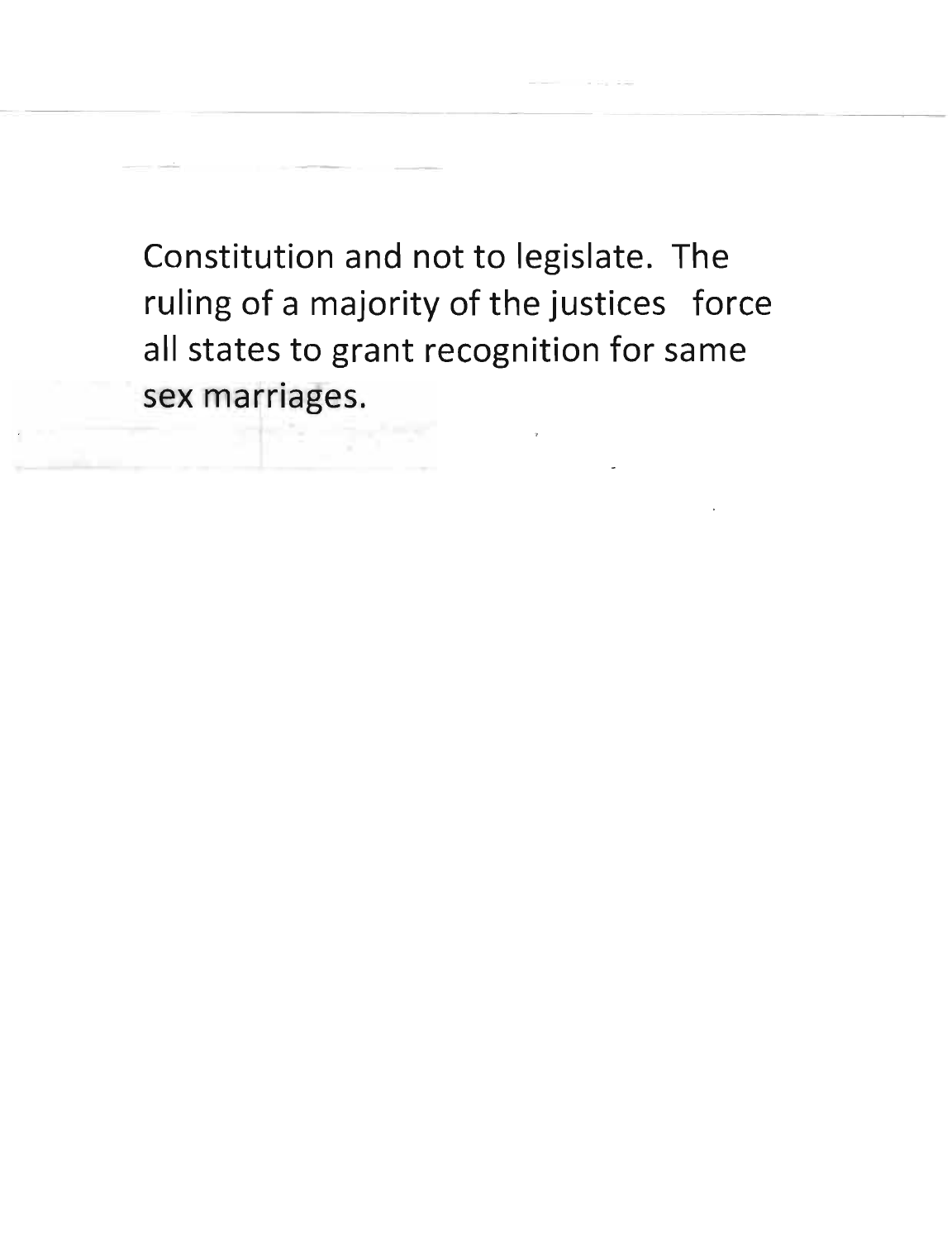Constitution and not to legislate. The ruling of a majority of the justices force all states to grant recognition for same<br>sex marriages.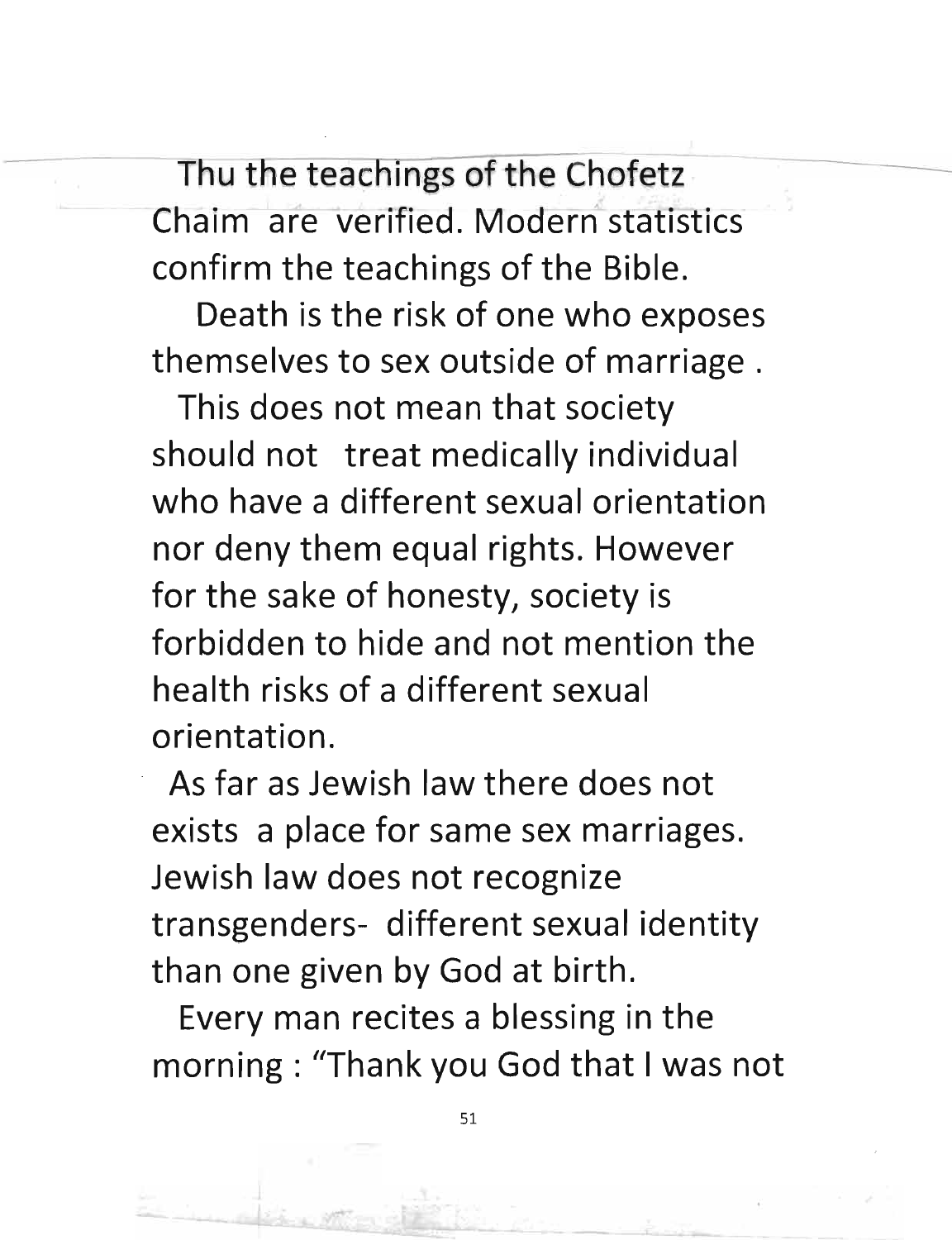Thu the teachings of the Chofetz Chaim are verified. Modern statistics confirm the teachings of the Bible.

Death is the risk of one who exposes themselves to sex outside of marriage.

This does not mean that society should not treat medically individual who have a different sexual orientation nor deny them equal rights. However for the sake of honesty, society is forbidden to hide and not mention the health risks of a different sexual orientation .

. As far as Jewish law there does not exists a place for same sex marriages. Jewish law does not recognize transgenders- different sexual identity than one given by God at birth.

Every man recites a blessing in the morning: "Thank you God that I was not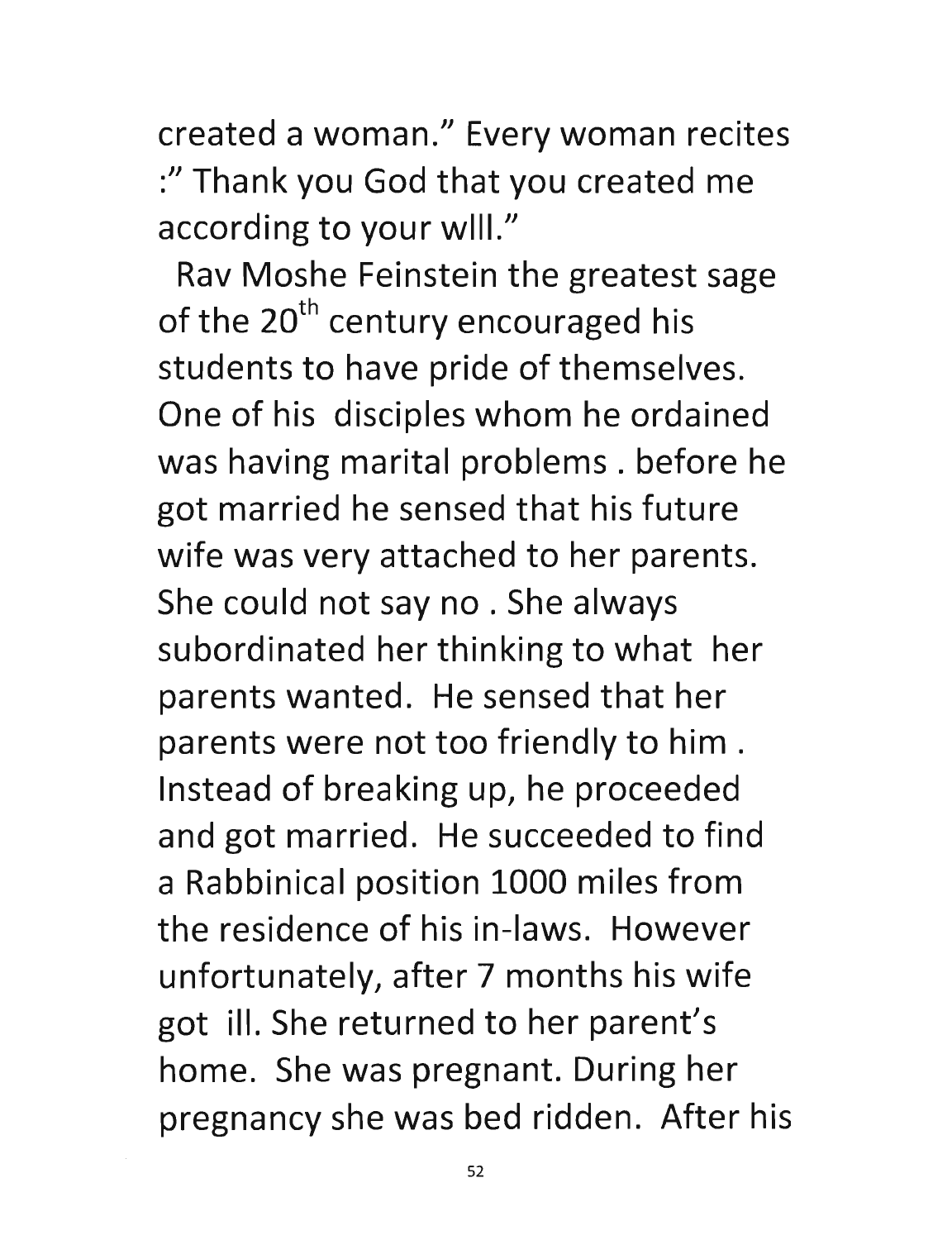created a woman." Every woman recites :" Thank you God that you created me according to your will."

Rav Moshe Feinstein the greatest sage of the  $20<sup>th</sup>$  century encouraged his students to have pride of themselves. One of his disciples whom he ordained was having marital problems. before he got married he sensed that his future wife was very attached to her parents. She could not say no . She always subordinated her thinking to what her parents wanted. He sensed that her parents were not too friendly to him. Instead of breaking up, he proceeded and got married. He succeeded to find a Rabbinical position 1000 miles from the residence of his in-laws. However unfortunately, after 7 months his wife got ill. She returned to her parent's home. She was pregnant. During her pregnancy she was bed ridden. After his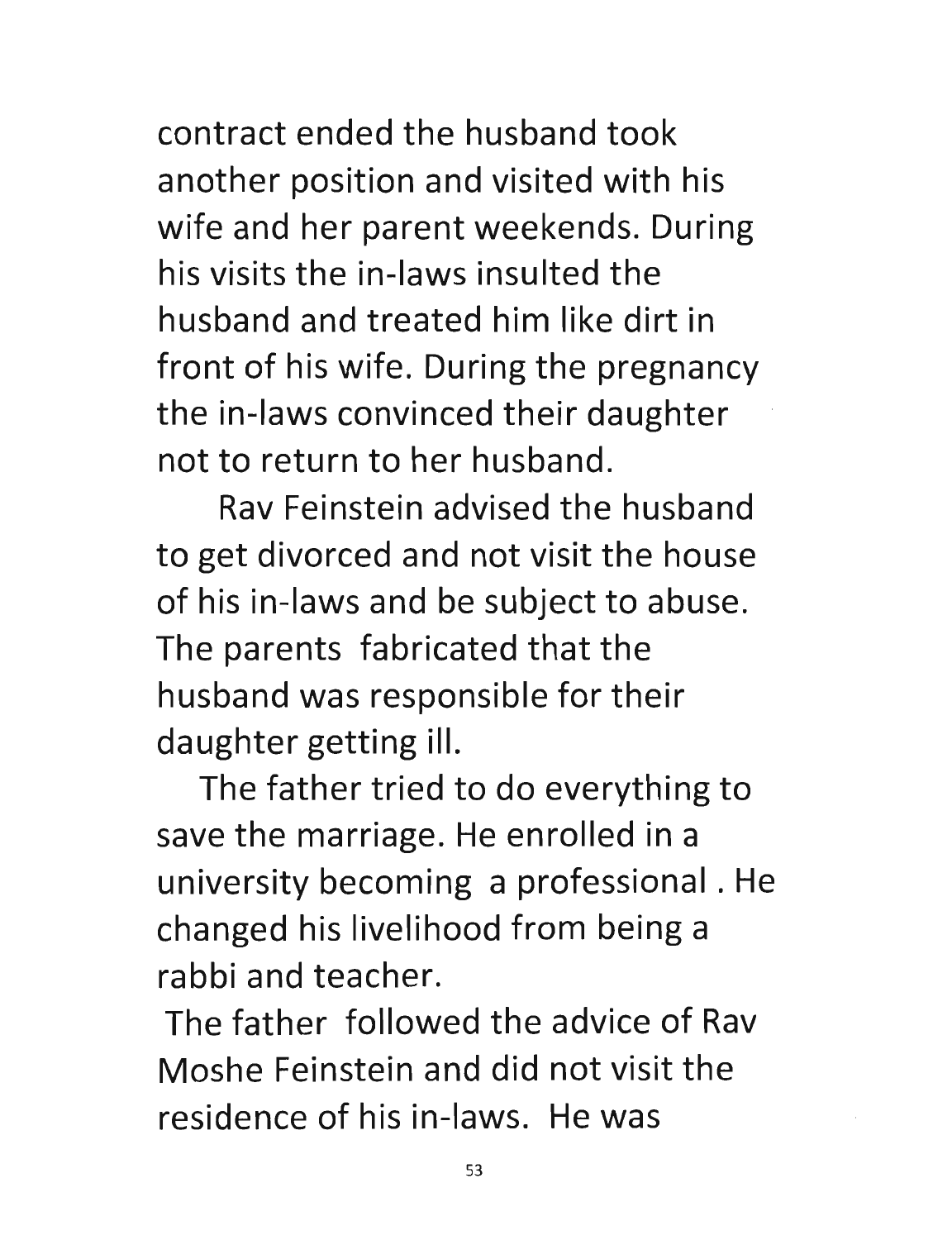contract ended the husband took another position and visited with his wife and her parent weekends. During his visits the in-laws insulted the husband and treated him like dirt in front of his wife. During the pregnancy the in-laws convinced their daughter not to return to her husband.

Rav Feinstein advised the husband to get divorced and not visit the house of his in-laws and be subject to abuse. The parents fabricated that the husband was responsible for their daughter getting ill.

The father tried to do everything to save the marriage. He enrolled in a university becoming a professional. He changed his livelihood from being a rabbi and teacher.

The father followed the advice of Rav Moshe Feinstein and did not visit the residence of his in-laws. He was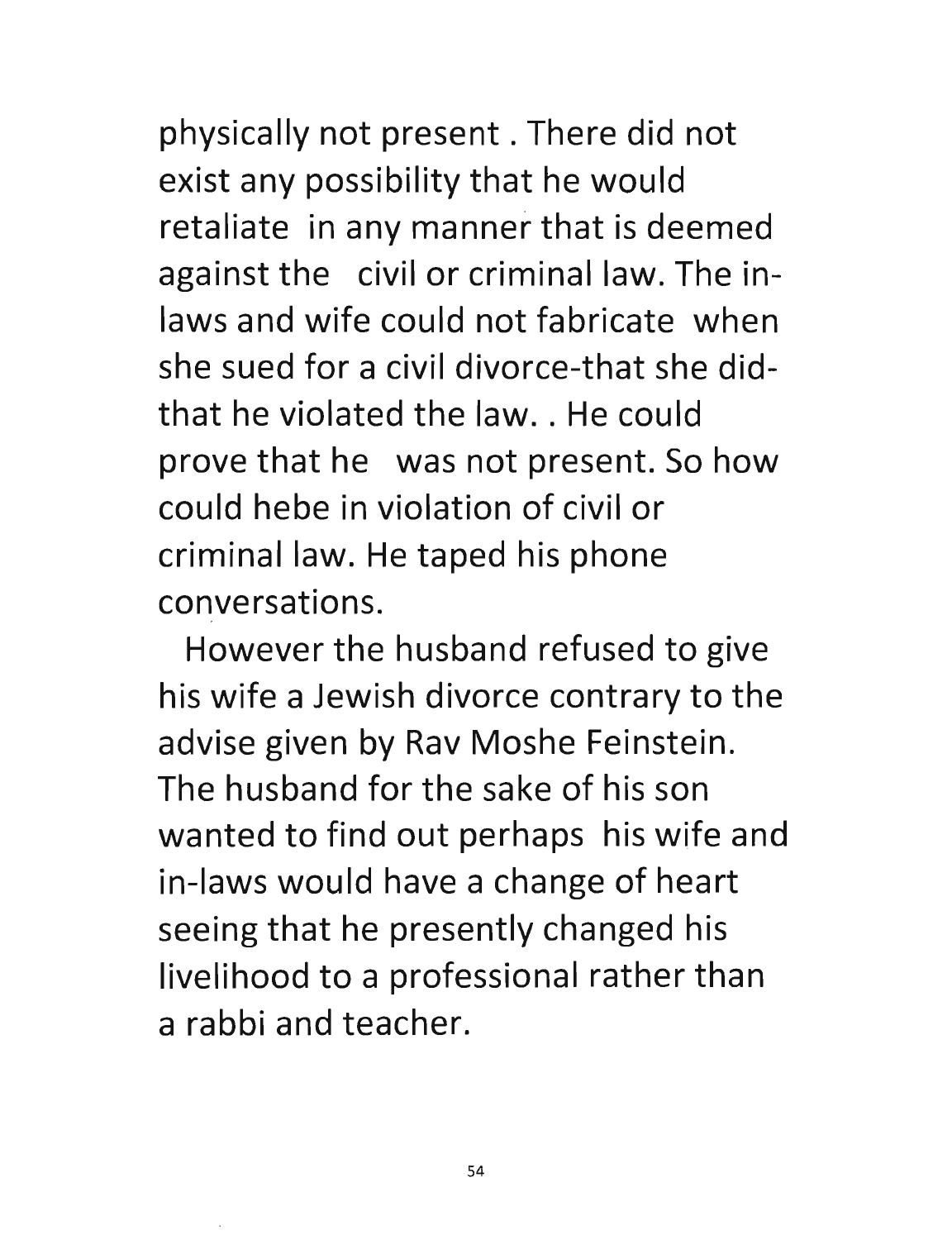physically not present. There did not exist any possibility that he would retaliate in any manner that is deemed against the civil or criminal law. The inlaws and wife could not fabricate when she sued for a civil divorce-that she didthat he violated the law. . He could prove that he was not present. So how could hebe in violation of civil or criminal law. He taped his phone conversations.

However the husband refused to give his wife a Jewish divorce contrary to the advise given by Rav Moshe Feinstein. The husband for the sake of his son wanted to find out perhaps his wife and in-laws would have a change of heart seeing that he presently changed his livelihood to a professional rather than a rabbi and teacher.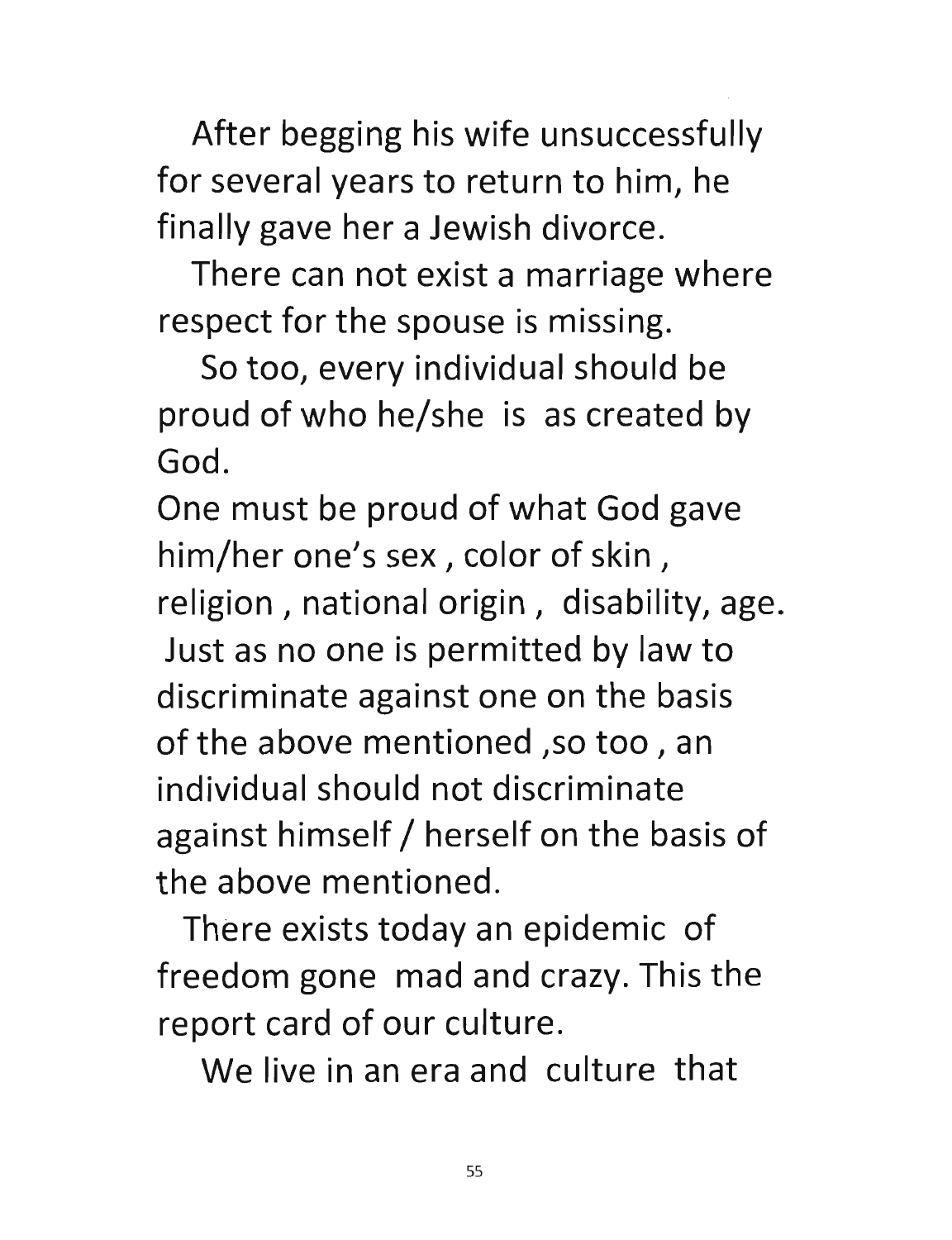After begging his wife unsuccessfully for several years to return to him, he finally gave her a Jewish divorce.

There can not exist a marriage where respect for the spouse is missing.

So too, every individual should be proud of who he/she is as created by God.

One must be proud of what God gave him/her one's sex, color of skin, religion, national origin, disability, age. Just as no one is permitted by law to discriminate against one on the basis of the above mentioned ,so too, an individual should not discriminate against himself / herself on the basis of the above mentioned.

There exists today an epidemic of freedom gone mad and crazy. This the report card of our culture.

We live in an era and culture that